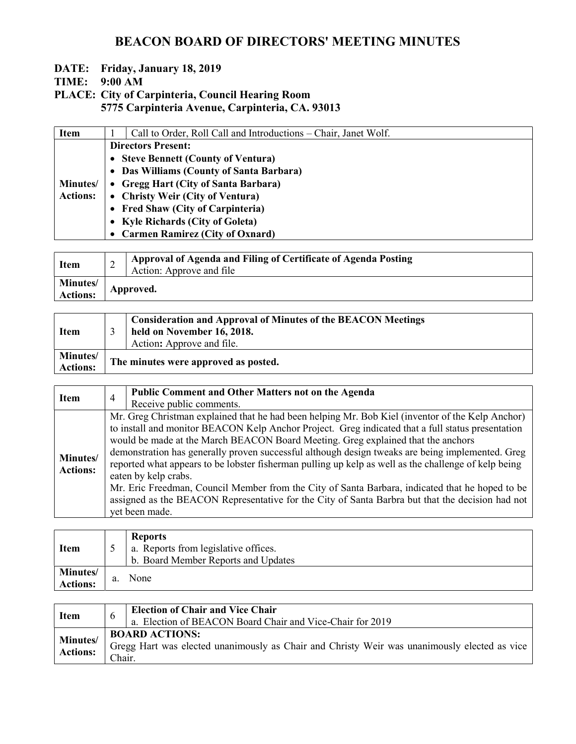# BEACON BOARD OF DIRECTORS' MEETING MINUTES

### DATE: Friday, January 18, 2019

TIME: 9:00 AM

PLACE: City of Carpinteria, Council Hearing Room 5775 Carpinteria Avenue, Carpinteria, CA. 93013

|                           | Call to Order, Roll Call and Introductions – Chair, Janet Wolf. |
|---------------------------|-----------------------------------------------------------------|
| <b>Directors Present:</b> |                                                                 |
|                           | • Steve Bennett (County of Ventura)                             |
|                           | • Das Williams (County of Santa Barbara)                        |
|                           | • Gregg Hart (City of Santa Barbara)                            |
|                           | • Christy Weir (City of Ventura)                                |
|                           | • Fred Shaw (City of Carpinteria)                               |
|                           | • Kyle Richards (City of Goleta)                                |
|                           | • Carmen Ramirez (City of Oxnard)                               |
|                           |                                                                 |

| <b>Item</b>                 | ∸         | Approval of Agenda and Filing of Certificate of Agenda Posting<br>Action: Approve and file |
|-----------------------------|-----------|--------------------------------------------------------------------------------------------|
| <b>Minutes/</b><br>Actions: | Approved. |                                                                                            |

| <b>Item</b>                 | <b>Consideration and Approval of Minutes of the BEACON Meetings</b><br>held on November 16, 2018.<br>Action: Approve and file. |
|-----------------------------|--------------------------------------------------------------------------------------------------------------------------------|
| Minutes/<br><b>Actions:</b> | The minutes were approved as posted.                                                                                           |

| <b>Item</b>                 | $\overline{4}$ | <b>Public Comment and Other Matters not on the Agenda</b>                                                                                                                                                                                                                                                                                                                                                                                                                                                                                                                                                                                                                                                                            |
|-----------------------------|----------------|--------------------------------------------------------------------------------------------------------------------------------------------------------------------------------------------------------------------------------------------------------------------------------------------------------------------------------------------------------------------------------------------------------------------------------------------------------------------------------------------------------------------------------------------------------------------------------------------------------------------------------------------------------------------------------------------------------------------------------------|
|                             |                | Receive public comments.                                                                                                                                                                                                                                                                                                                                                                                                                                                                                                                                                                                                                                                                                                             |
| Minutes/<br><b>Actions:</b> |                | Mr. Greg Christman explained that he had been helping Mr. Bob Kiel (inventor of the Kelp Anchor)<br>to install and monitor BEACON Kelp Anchor Project. Greg indicated that a full status presentation<br>would be made at the March BEACON Board Meeting. Greg explained that the anchors<br>demonstration has generally proven successful although design tweaks are being implemented. Greg<br>reported what appears to be lobster fisherman pulling up kelp as well as the challenge of kelp being<br>eaten by kelp crabs.<br>Mr. Eric Freedman, Council Member from the City of Santa Barbara, indicated that he hoped to be<br>assigned as the BEACON Representative for the City of Santa Barbra but that the decision had not |
|                             |                | vet been made.                                                                                                                                                                                                                                                                                                                                                                                                                                                                                                                                                                                                                                                                                                                       |

| <b>Item</b>                 |    | <b>Reports</b><br>a. Reports from legislative offices.<br>b. Board Member Reports and Updates |
|-----------------------------|----|-----------------------------------------------------------------------------------------------|
| Minutes/<br><b>Actions:</b> | a. | None                                                                                          |

| <b>Item</b>                 | 6                                                                                                                               | <b>Election of Chair and Vice Chair</b><br>a. Election of BEACON Board Chair and Vice-Chair for 2019 |
|-----------------------------|---------------------------------------------------------------------------------------------------------------------------------|------------------------------------------------------------------------------------------------------|
| Minutes/<br><b>Actions:</b> | <b>BOARD ACTIONS:</b><br>Gregg Hart was elected unanimously as Chair and Christy Weir was unanimously elected as vice<br>Chair. |                                                                                                      |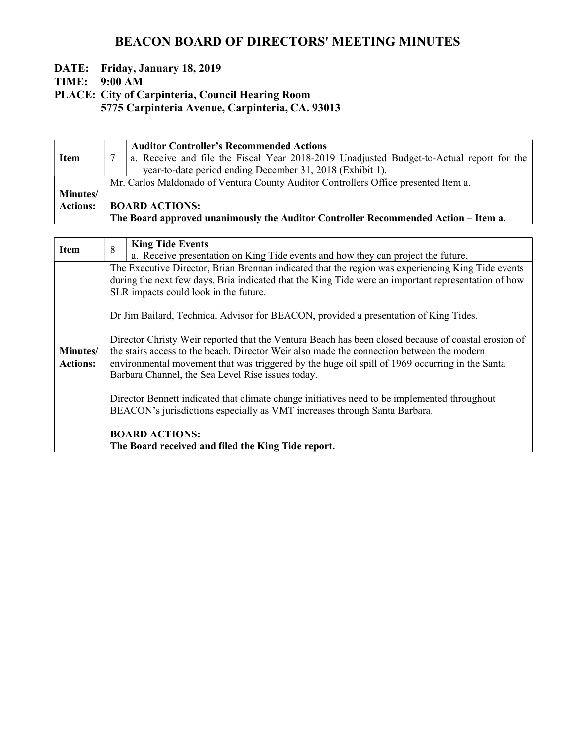# BEACON BOARD OF DIRECTORS' MEETING MINUTES

### DATE: Friday, January 18, 2019

TIME: 9:00 AM

PLACE: City of Carpinteria, Council Hearing Room

5775 Carpinteria Avenue, Carpinteria, CA. 93013

|                  |                                                                                     | <b>Auditor Controller's Recommended Actions</b>                                          |
|------------------|-------------------------------------------------------------------------------------|------------------------------------------------------------------------------------------|
| <b>Item</b>      |                                                                                     | a. Receive and file the Fiscal Year 2018-2019 Unadjusted Budget-to-Actual report for the |
|                  |                                                                                     | year-to-date period ending December 31, 2018 (Exhibit 1).                                |
|                  | Mr. Carlos Maldonado of Ventura County Auditor Controllers Office presented Item a. |                                                                                          |
| <b>Minutes</b> / |                                                                                     |                                                                                          |
| <b>Actions:</b>  |                                                                                     | <b>BOARD ACTIONS:</b>                                                                    |
|                  |                                                                                     | The Board approved unanimously the Auditor Controller Recommended Action – Item a.       |

| <b>Item</b>                 | <b>King Tide Events</b><br>8                                                                                                                                                                                                                                                                                                                                                                                                                                                                                                                                                                                                                                                                                                                                                                                                                                                                               |
|-----------------------------|------------------------------------------------------------------------------------------------------------------------------------------------------------------------------------------------------------------------------------------------------------------------------------------------------------------------------------------------------------------------------------------------------------------------------------------------------------------------------------------------------------------------------------------------------------------------------------------------------------------------------------------------------------------------------------------------------------------------------------------------------------------------------------------------------------------------------------------------------------------------------------------------------------|
|                             | a. Receive presentation on King Tide events and how they can project the future.                                                                                                                                                                                                                                                                                                                                                                                                                                                                                                                                                                                                                                                                                                                                                                                                                           |
| Minutes/<br><b>Actions:</b> | The Executive Director, Brian Brennan indicated that the region was experiencing King Tide events<br>during the next few days. Bria indicated that the King Tide were an important representation of how<br>SLR impacts could look in the future.<br>Dr Jim Bailard, Technical Advisor for BEACON, provided a presentation of King Tides.<br>Director Christy Weir reported that the Ventura Beach has been closed because of coastal erosion of<br>the stairs access to the beach. Director Weir also made the connection between the modern<br>environmental movement that was triggered by the huge oil spill of 1969 occurring in the Santa<br>Barbara Channel, the Sea Level Rise issues today.<br>Director Bennett indicated that climate change initiatives need to be implemented throughout<br>BEACON's jurisdictions especially as VMT increases through Santa Barbara.<br><b>BOARD ACTIONS:</b> |
|                             | The Board received and filed the King Tide report.                                                                                                                                                                                                                                                                                                                                                                                                                                                                                                                                                                                                                                                                                                                                                                                                                                                         |